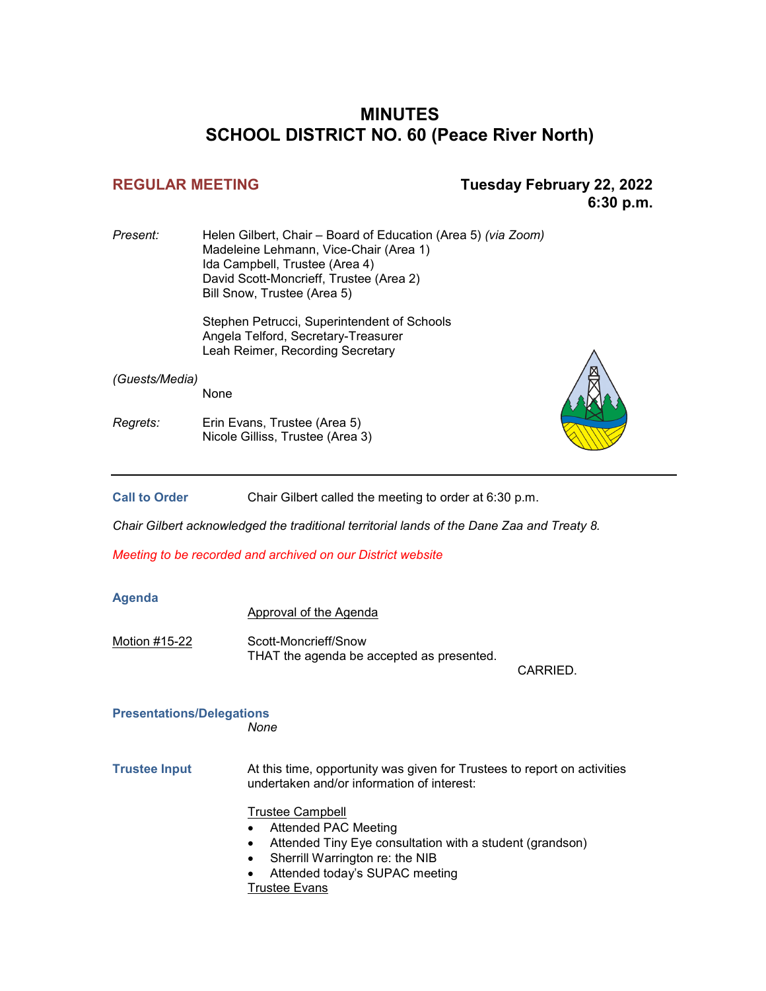#### **MINUTES SCHOOL DISTRICT NO. 60 (Peace River North)**

#### **REGULAR MEETING Tuesday February 22, 2022 6:30 p.m.**

| Present:       | Helen Gilbert, Chair – Board of Education (Area 5) (via Zoom)<br>Madeleine Lehmann, Vice-Chair (Area 1)<br>Ida Campbell, Trustee (Area 4)<br>David Scott-Moncrieff, Trustee (Area 2)<br>Bill Snow, Trustee (Area 5) |  |
|----------------|---------------------------------------------------------------------------------------------------------------------------------------------------------------------------------------------------------------------|--|
|                | Stephen Petrucci, Superintendent of Schools<br>Angela Telford, Secretary-Treasurer<br>Leah Reimer, Recording Secretary                                                                                              |  |
| (Guests/Media) | None                                                                                                                                                                                                                |  |

*Regrets:* Erin Evans, Trustee (Area 5) Nicole Gilliss, Trustee (Area 3)

Call to Order **Chair Gilbert called the meeting to order at 6:30 p.m.** 

*Chair Gilbert acknowledged the traditional territorial lands of the Dane Zaa and Treaty 8.*

*Meeting to be recorded and archived on our District website*

#### **Agenda**

Approval of the Agenda

Motion #15-22 Scott-Moncrieff/Snow THAT the agenda be accepted as presented.

CARRIED.

#### **Presentations/Delegations**

*None*

**Trustee Input** At this time, opportunity was given for Trustees to report on activities undertaken and/or information of interest:

#### Trustee Campbell

- Attended PAC Meeting
- Attended Tiny Eye consultation with a student (grandson)
- Sherrill Warrington re: the NIB
- Attended today's SUPAC meeting

Trustee Evans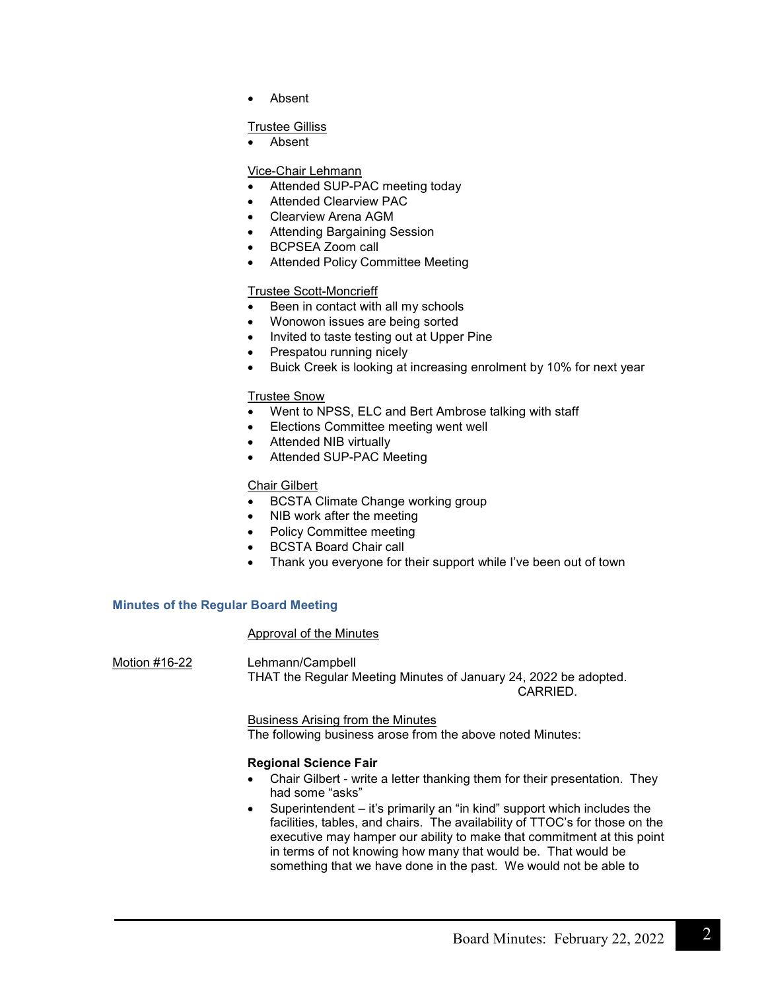• Absent

#### Trustee Gilliss

• Absent

#### Vice-Chair Lehmann

- Attended SUP-PAC meeting today
- Attended Clearview PAC
- Clearview Arena AGM
- Attending Bargaining Session
- BCPSEA Zoom call
- Attended Policy Committee Meeting

#### Trustee Scott-Moncrieff

- Been in contact with all my schools
- Wonowon issues are being sorted
- Invited to taste testing out at Upper Pine
- Prespatou running nicely
- Buick Creek is looking at increasing enrolment by 10% for next year

#### Trustee Snow

- Went to NPSS, ELC and Bert Ambrose talking with staff
- Elections Committee meeting went well
- Attended NIB virtually
- Attended SUP-PAC Meeting

#### Chair Gilbert

- BCSTA Climate Change working group
- NIB work after the meeting
- Policy Committee meeting
- BCSTA Board Chair call
- Thank you everyone for their support while I've been out of town

#### **Minutes of the Regular Board Meeting**

#### Approval of the Minutes

Motion #16-22 Lehmann/Campbell THAT the Regular Meeting Minutes of January 24, 2022 be adopted. CARRIED.

> Business Arising from the Minutes The following business arose from the above noted Minutes:

#### **Regional Science Fair**

- Chair Gilbert write a letter thanking them for their presentation. They had some "asks"
- Superintendent it's primarily an "in kind" support which includes the facilities, tables, and chairs. The availability of TTOC's for those on the executive may hamper our ability to make that commitment at this point in terms of not knowing how many that would be. That would be something that we have done in the past. We would not be able to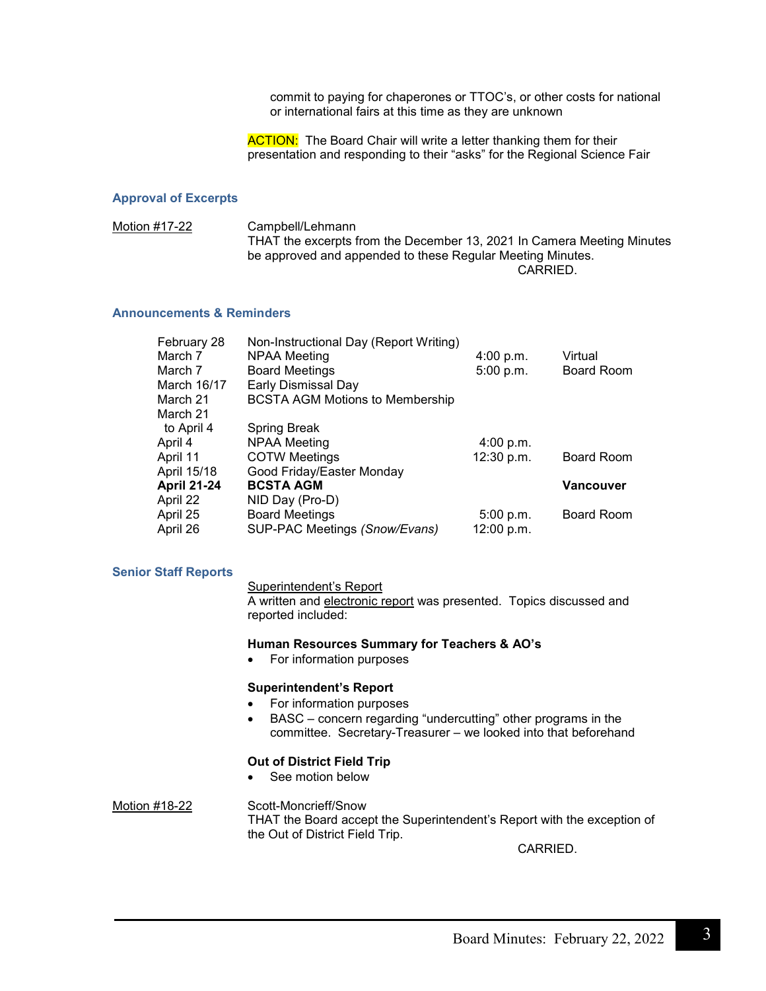commit to paying for chaperones or TTOC's, or other costs for national or international fairs at this time as they are unknown

**ACTION:** The Board Chair will write a letter thanking them for their presentation and responding to their "asks" for the Regional Science Fair

#### **Approval of Excerpts**

Motion #17-22 Campbell/Lehmann THAT the excerpts from the December 13, 2021 In Camera Meeting Minutes be approved and appended to these Regular Meeting Minutes. CARRIED.

#### **Announcements & Reminders**

| February 28        | Non-Instructional Day (Report Writing) |            |                  |
|--------------------|----------------------------------------|------------|------------------|
| March 7            | NPAA Meeting                           | 4:00 p.m.  | Virtual          |
| March 7            | <b>Board Meetings</b>                  | 5:00 p.m.  | Board Room       |
| March 16/17        | Early Dismissal Day                    |            |                  |
| March 21           | <b>BCSTA AGM Motions to Membership</b> |            |                  |
| March 21           |                                        |            |                  |
| to April 4         | <b>Spring Break</b>                    |            |                  |
| April 4            | <b>NPAA Meeting</b>                    | 4:00 p.m.  |                  |
| April 11           | <b>COTW Meetings</b>                   | 12:30 p.m. | Board Room       |
| April 15/18        | Good Friday/Easter Monday              |            |                  |
| <b>April 21-24</b> | <b>BCSTA AGM</b>                       |            | <b>Vancouver</b> |
| April 22           | NID Day (Pro-D)                        |            |                  |
| April 25           | <b>Board Meetings</b>                  | 5:00 p.m.  | Board Room       |
| April 26           | SUP-PAC Meetings (Snow/Evans)          | 12:00 p.m. |                  |

#### **Senior Staff Reports**

#### Superintendent's Report

A written and electronic report was presented. Topics discussed and reported included:

#### **Human Resources Summary for Teachers & AO's**

• For information purposes

#### **Superintendent's Report**

- For information purposes
- BASC concern regarding "undercutting" other programs in the committee. Secretary-Treasurer – we looked into that beforehand

#### **Out of District Field Trip**

See motion below

Motion #18-22 Scott-Moncrieff/Snow THAT the Board accept the Superintendent's Report with the exception of the Out of District Field Trip.

CARRIED.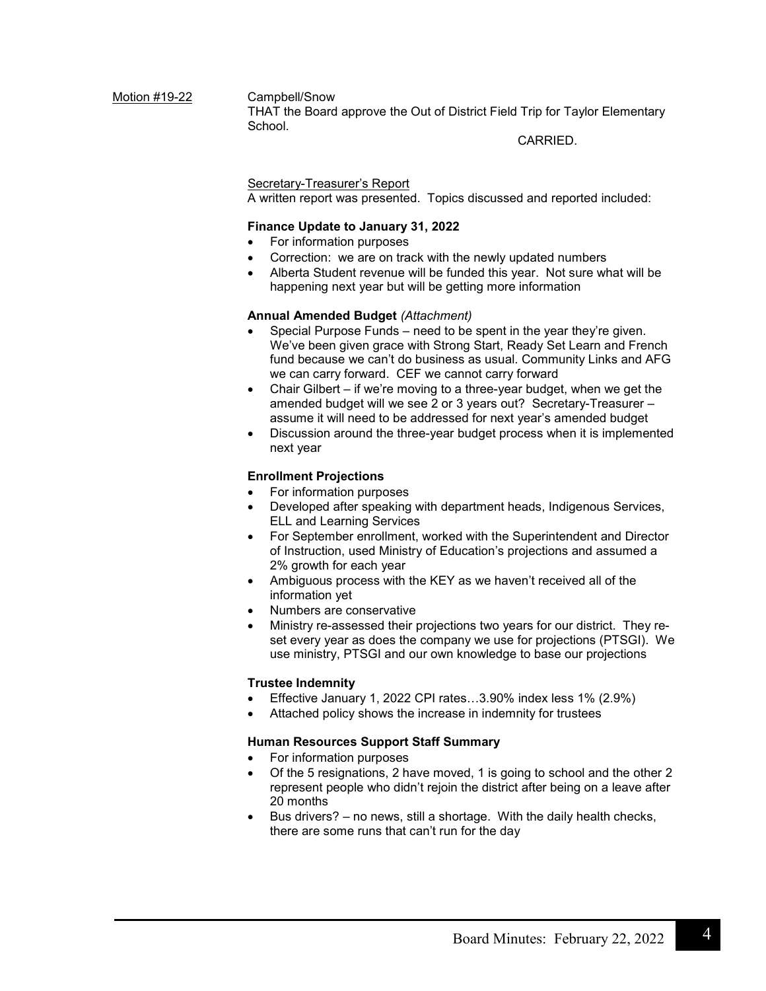Motion #19-22 Campbell/Snow THAT the Board approve the Out of District Field Trip for Taylor Elementary School.

CARRIED.

#### Secretary-Treasurer's Report

A written report was presented. Topics discussed and reported included:

#### **Finance Update to January 31, 2022**

- For information purposes
- Correction: we are on track with the newly updated numbers
- Alberta Student revenue will be funded this year. Not sure what will be happening next year but will be getting more information

#### **Annual Amended Budget** *(Attachment)*

- Special Purpose Funds need to be spent in the year they're given. We've been given grace with Strong Start, Ready Set Learn and French fund because we can't do business as usual. Community Links and AFG we can carry forward. CEF we cannot carry forward
- Chair Gilbert if we're moving to a three-year budget, when we get the amended budget will we see 2 or 3 years out? Secretary-Treasurer – assume it will need to be addressed for next year's amended budget
- Discussion around the three-year budget process when it is implemented next year

#### **Enrollment Projections**

- For information purposes
- Developed after speaking with department heads, Indigenous Services, ELL and Learning Services
- For September enrollment, worked with the Superintendent and Director of Instruction, used Ministry of Education's projections and assumed a 2% growth for each year
- Ambiguous process with the KEY as we haven't received all of the information yet
- Numbers are conservative
- Ministry re-assessed their projections two years for our district. They reset every year as does the company we use for projections (PTSGI). We use ministry, PTSGI and our own knowledge to base our projections

#### **Trustee Indemnity**

- Effective January 1, 2022 CPI rates…3.90% index less 1% (2.9%)
- Attached policy shows the increase in indemnity for trustees

#### **Human Resources Support Staff Summary**

- For information purposes
- Of the 5 resignations, 2 have moved, 1 is going to school and the other 2 represent people who didn't rejoin the district after being on a leave after 20 months
- Bus drivers? no news, still a shortage. With the daily health checks, there are some runs that can't run for the day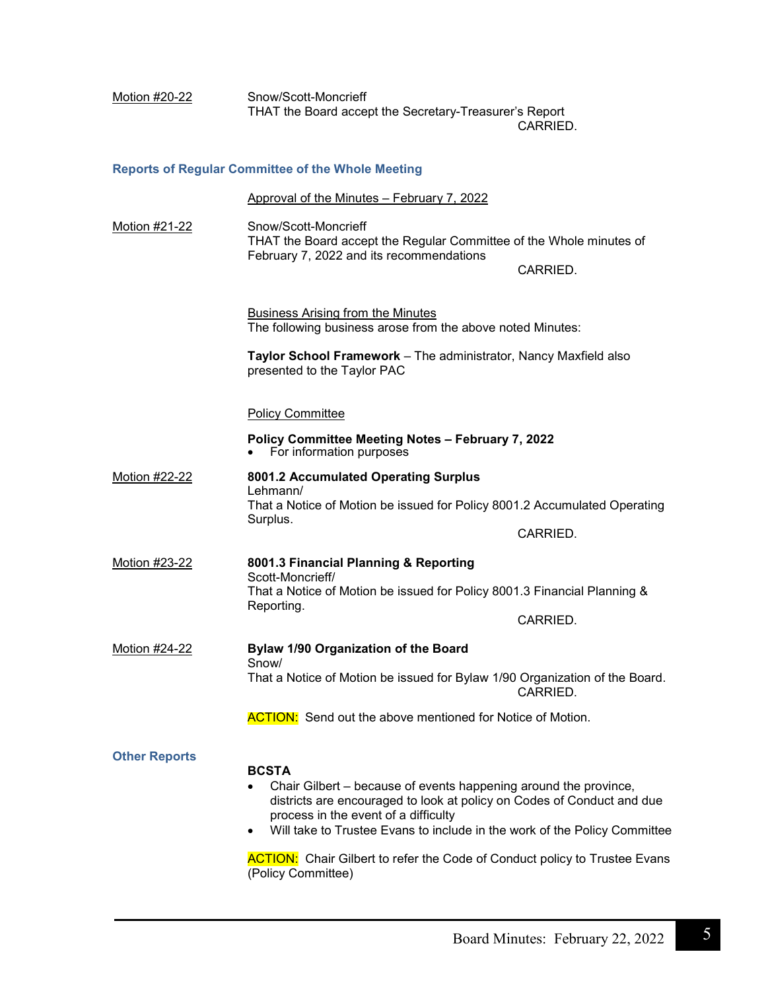| Motion #20-22        | Snow/Scott-Moncrieff<br>THAT the Board accept the Secretary-Treasurer's Report                                                                                                                                                                                                                                                                                                             | CARRIED. |
|----------------------|--------------------------------------------------------------------------------------------------------------------------------------------------------------------------------------------------------------------------------------------------------------------------------------------------------------------------------------------------------------------------------------------|----------|
|                      | <b>Reports of Regular Committee of the Whole Meeting</b>                                                                                                                                                                                                                                                                                                                                   |          |
|                      | Approval of the Minutes - February 7, 2022                                                                                                                                                                                                                                                                                                                                                 |          |
| Motion #21-22        | Snow/Scott-Moncrieff<br>THAT the Board accept the Regular Committee of the Whole minutes of<br>February 7, 2022 and its recommendations                                                                                                                                                                                                                                                    | CARRIED. |
|                      | <b>Business Arising from the Minutes</b><br>The following business arose from the above noted Minutes:                                                                                                                                                                                                                                                                                     |          |
|                      | Taylor School Framework - The administrator, Nancy Maxfield also<br>presented to the Taylor PAC                                                                                                                                                                                                                                                                                            |          |
|                      | <b>Policy Committee</b>                                                                                                                                                                                                                                                                                                                                                                    |          |
|                      | Policy Committee Meeting Notes - February 7, 2022<br>For information purposes                                                                                                                                                                                                                                                                                                              |          |
| Motion #22-22        | 8001.2 Accumulated Operating Surplus<br>Lehmann/<br>That a Notice of Motion be issued for Policy 8001.2 Accumulated Operating<br>Surplus.                                                                                                                                                                                                                                                  | CARRIED. |
| Motion #23-22        | 8001.3 Financial Planning & Reporting<br>Scott-Moncrieff/<br>That a Notice of Motion be issued for Policy 8001.3 Financial Planning &<br>Reporting.                                                                                                                                                                                                                                        | CARRIED. |
| <b>Motion #24-22</b> | Bylaw 1/90 Organization of the Board                                                                                                                                                                                                                                                                                                                                                       |          |
|                      | Snow/<br>That a Notice of Motion be issued for Bylaw 1/90 Organization of the Board.                                                                                                                                                                                                                                                                                                       | CARRIED. |
|                      | <b>ACTION:</b> Send out the above mentioned for Notice of Motion.                                                                                                                                                                                                                                                                                                                          |          |
| <b>Other Reports</b> | <b>BCSTA</b><br>Chair Gilbert – because of events happening around the province,<br>districts are encouraged to look at policy on Codes of Conduct and due<br>process in the event of a difficulty<br>Will take to Trustee Evans to include in the work of the Policy Committee<br><b>ACTION:</b> Chair Gilbert to refer the Code of Conduct policy to Trustee Evans<br>(Policy Committee) |          |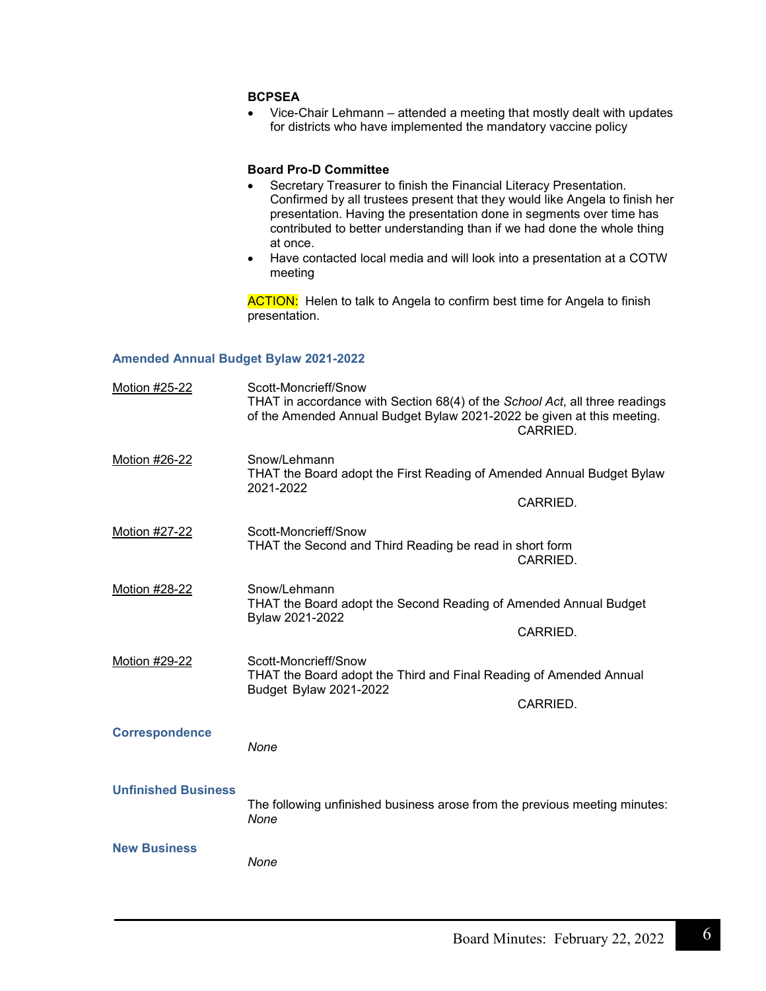#### **BCPSEA**

• Vice-Chair Lehmann – attended a meeting that mostly dealt with updates for districts who have implemented the mandatory vaccine policy

#### **Board Pro-D Committee**

- Secretary Treasurer to finish the Financial Literacy Presentation. Confirmed by all trustees present that they would like Angela to finish her presentation. Having the presentation done in segments over time has contributed to better understanding than if we had done the whole thing at once.
- Have contacted local media and will look into a presentation at a COTW meeting

**ACTION:** Helen to talk to Angela to confirm best time for Angela to finish presentation.

#### **Amended Annual Budget Bylaw 2021-2022**

| Motion #25-22              | Scott-Moncrieff/Snow<br>THAT in accordance with Section 68(4) of the School Act, all three readings<br>of the Amended Annual Budget Bylaw 2021-2022 be given at this meeting. | CARRIED. |
|----------------------------|-------------------------------------------------------------------------------------------------------------------------------------------------------------------------------|----------|
| Motion #26-22              | Snow/Lehmann<br>THAT the Board adopt the First Reading of Amended Annual Budget Bylaw<br>2021-2022                                                                            | CARRIED. |
| Motion #27-22              | Scott-Moncrieff/Snow<br>THAT the Second and Third Reading be read in short form                                                                                               | CARRIED. |
| Motion #28-22              | Snow/Lehmann<br>THAT the Board adopt the Second Reading of Amended Annual Budget<br>Bylaw 2021-2022                                                                           | CARRIED. |
| Motion #29-22              | Scott-Moncrieff/Snow<br>THAT the Board adopt the Third and Final Reading of Amended Annual<br>Budget Bylaw 2021-2022                                                          | CARRIED. |
| <b>Correspondence</b>      | None                                                                                                                                                                          |          |
| <b>Unfinished Business</b> | The following unfinished business arose from the previous meeting minutes:<br>None                                                                                            |          |
| <b>New Business</b>        | None                                                                                                                                                                          |          |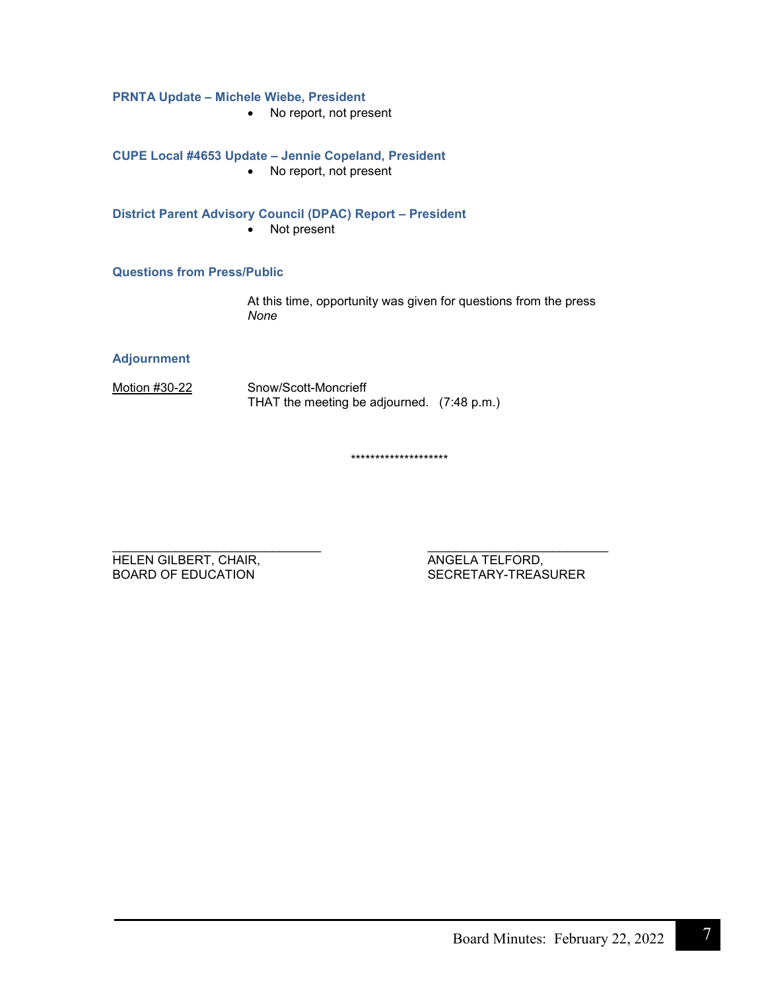#### **PRNTA Update – Michele Wiebe, President**

• No report, not present

#### **CUPE Local #4653 Update – Jennie Copeland, President**

• No report, not present

#### **District Parent Advisory Council (DPAC) Report – President**

• Not present

#### **Questions from Press/Public**

At this time, opportunity was given for questions from the press *None*

#### **Adjournment**

Motion #30-22 Snow/Scott-Moncrieff THAT the meeting be adjourned. (7:48 p.m.)

\*\*\*\*\*\*\*\*\*\*\*\*\*\*\*\*\*\*\*\*

HELEN GILBERT, CHAIR, THELEN GILBERT, CHAIR, THELEN ANGELA TELFORD, THELEN ANGELA TELFORD,

\_\_\_\_\_\_\_\_\_\_\_\_\_\_\_\_\_\_\_\_\_\_\_\_\_\_\_\_\_\_ \_\_\_\_\_\_\_\_\_\_\_\_\_\_\_\_\_\_\_\_\_\_\_\_\_\_ SECRETARY-TREASURER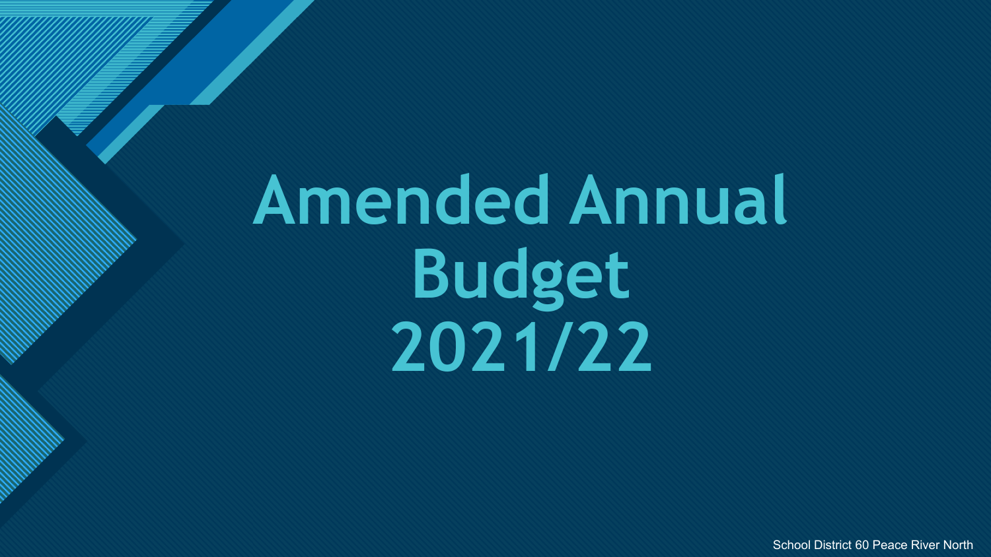# **Amended Annual Budget 2021/22**

**Click to edit Master title style**

School District 60 Peace River North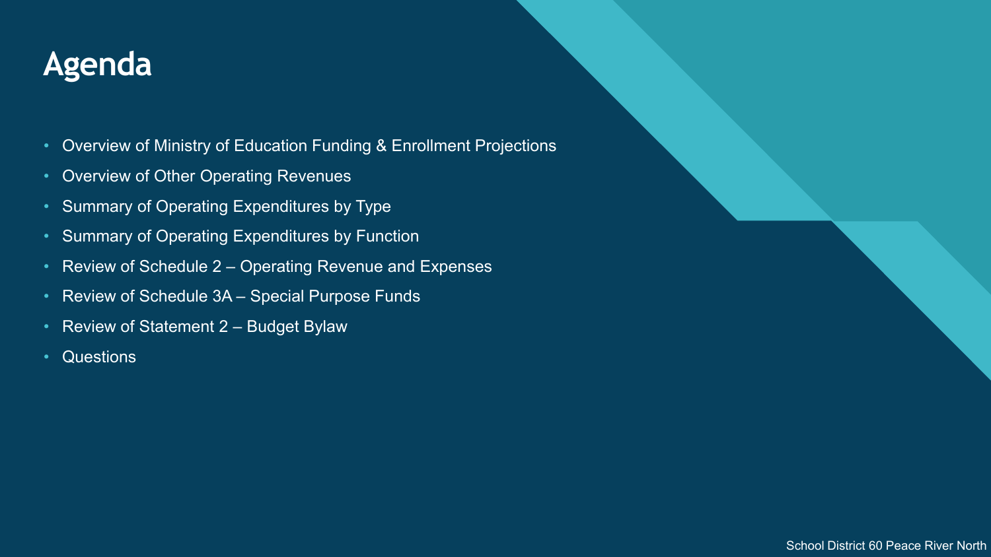## **Click to edit Master title style Agenda**

- Overview of Ministry of Education Funding & Enrollment Projections
- Overview of Other Operating Revenues
- Summary of Operating Expenditures by Type
- Summary of Operating Expenditures by Function
- Review of Schedule 2 Operating Revenue and Expenses
- Review of Schedule 3A Special Purpose Funds
- Review of Statement 2 Budget Bylaw
- Questions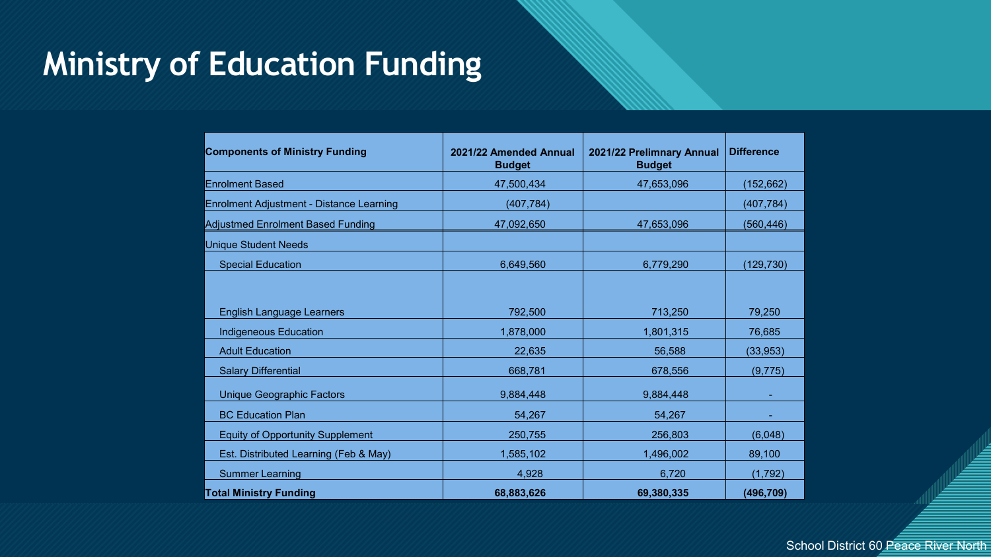### **Ministry of Education Funding**

| <b>Components of Ministry Funding</b>    | 2021/22 Amended Annual<br><b>Budget</b> | 2021/22 Prelimnary Annual<br><b>Budget</b> | <b>Difference</b> |
|------------------------------------------|-----------------------------------------|--------------------------------------------|-------------------|
| <b>Enrolment Based</b>                   | 47,500,434                              | 47,653,096                                 | (152, 662)        |
| Enrolment Adjustment - Distance Learning | (407, 784)                              |                                            | (407, 784)        |
| <b>Adjustmed Enrolment Based Funding</b> | 47,092,650                              | 47,653,096                                 | (560, 446)        |
| <b>Unique Student Needs</b>              |                                         |                                            |                   |
| <b>Special Education</b>                 | 6,649,560                               | 6,779,290                                  | (129, 730)        |
|                                          |                                         |                                            |                   |
| <b>English Language Learners</b>         | 792,500                                 | 713,250                                    | 79,250            |
| <b>Indigeneous Education</b>             | 1,878,000                               | 1,801,315                                  | 76,685            |
| <b>Adult Education</b>                   | 22,635                                  | 56,588                                     | (33, 953)         |
| <b>Salary Differential</b>               | 668,781                                 | 678,556                                    | (9,775)           |
| <b>Unique Geographic Factors</b>         | 9,884,448                               | 9,884,448                                  |                   |
| <b>BC Education Plan</b>                 | 54,267                                  | 54,267                                     |                   |
| <b>Equity of Opportunity Supplement</b>  | 250,755                                 | 256,803                                    | (6,048)           |
| Est. Distributed Learning (Feb & May)    | 1,585,102                               | 1,496,002                                  | 89,100            |
| <b>Summer Learning</b>                   | 4,928                                   | 6,720                                      | (1,792)           |
| <b>Total Ministry Funding</b>            | 68,883,626                              | 69,380,335                                 | (496, 709)        |

School District 60 Peace River North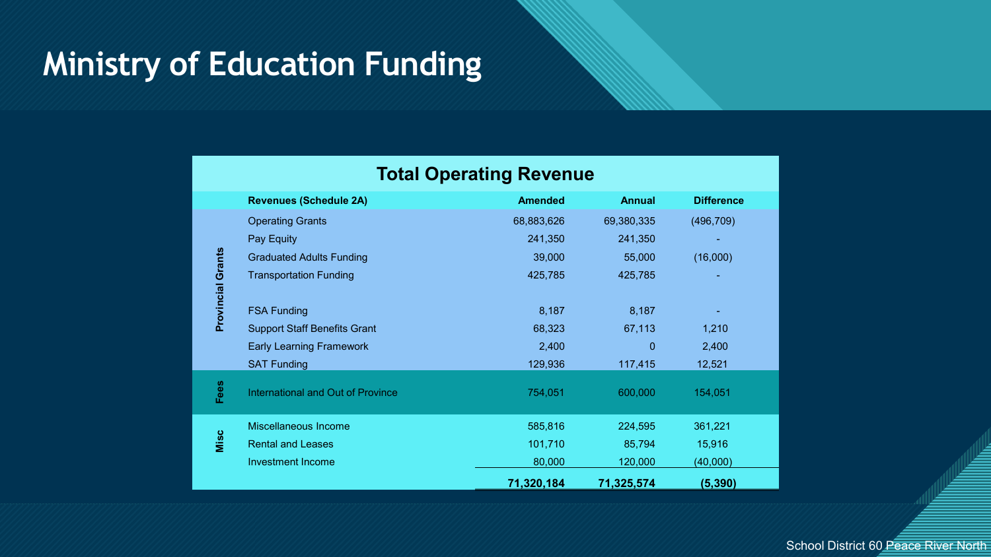### **Ministry of Education Funding**

|                          | <b>Total Operating Revenue</b>           |                |               |                   |  |  |
|--------------------------|------------------------------------------|----------------|---------------|-------------------|--|--|
|                          | <b>Revenues (Schedule 2A)</b>            | <b>Amended</b> | <b>Annual</b> | <b>Difference</b> |  |  |
|                          | <b>Operating Grants</b>                  | 68,883,626     | 69,380,335    | (496, 709)        |  |  |
|                          | Pay Equity                               | 241,350        | 241,350       |                   |  |  |
|                          | <b>Graduated Adults Funding</b>          | 39,000         | 55,000        | (16,000)          |  |  |
| <b>Provincial Grants</b> | <b>Transportation Funding</b>            | 425,785        | 425,785       |                   |  |  |
|                          |                                          |                |               |                   |  |  |
|                          | <b>FSA Funding</b>                       | 8,187          | 8,187         |                   |  |  |
|                          | <b>Support Staff Benefits Grant</b>      | 68,323         | 67,113        | 1,210             |  |  |
|                          | <b>Early Learning Framework</b>          | 2,400          | 0             | 2,400             |  |  |
|                          | <b>SAT Funding</b>                       | 129,936        | 117,415       | 12,521            |  |  |
| Fees                     | <b>International and Out of Province</b> | 754,051        | 600,000       | 154,051           |  |  |
|                          | Miscellaneous Income                     | 585,816        | 224,595       | 361,221           |  |  |
| Misc                     | <b>Rental and Leases</b>                 | 101,710        | 85,794        | 15,916            |  |  |
|                          | <b>Investment Income</b>                 | 80,000         | 120,000       | (40,000)          |  |  |
|                          |                                          | 71,320,184     | 71,325,574    | (5, 390)          |  |  |

School District 60 Peace River North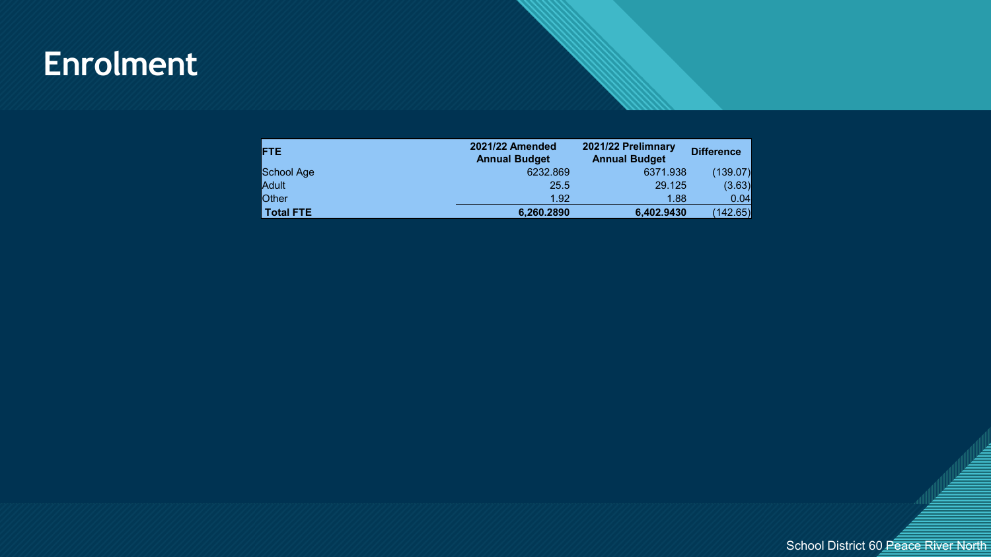### **Click to edit Master title style Enrolment**

| <b>FTE</b>   | <b>2021/22 Amended</b><br><b>Annual Budget</b> | 2021/22 Prelimnary<br><b>Annual Budget</b> | <b>Difference</b> |
|--------------|------------------------------------------------|--------------------------------------------|-------------------|
| School Age   | 6232.869                                       | 6371.938                                   | (139.07)          |
| Adult        | 25.5                                           | 29.125                                     | (3.63)            |
| <b>Other</b> | 1.92                                           | 1.88                                       | 0.04              |
| Total FTE    | 6,260.2890                                     | 6,402.9430                                 | (142.65)          |

School District 60 Peace River North

5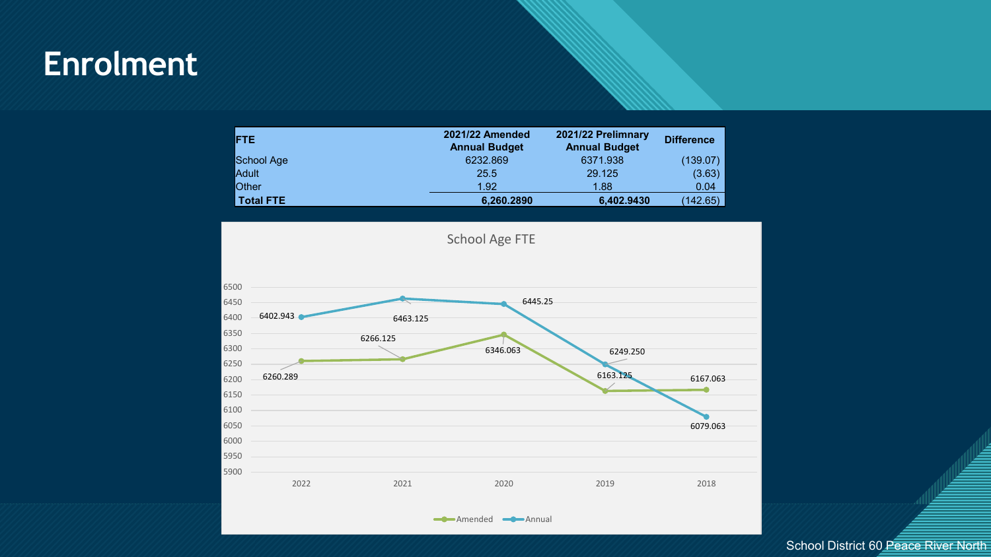### **Click to edit Master title style Enrolment**

| FTE              | 2021/22 Amended<br><b>Annual Budget</b> | 2021/22 Prelimnary<br><b>Annual Budget</b> | <b>Difference</b> |
|------------------|-----------------------------------------|--------------------------------------------|-------------------|
| School Age       | 6232.869                                | 6371.938                                   | (139.07)          |
| <b>Adult</b>     | 25.5                                    | 29.125                                     | (3.63)            |
| <b>Other</b>     | 1.92                                    | 1.88                                       | 0.04              |
| <b>Total FTE</b> | 6,260.2890                              | 6,402.9430                                 | (142.65)          |



#### School District 60 Peace River North

6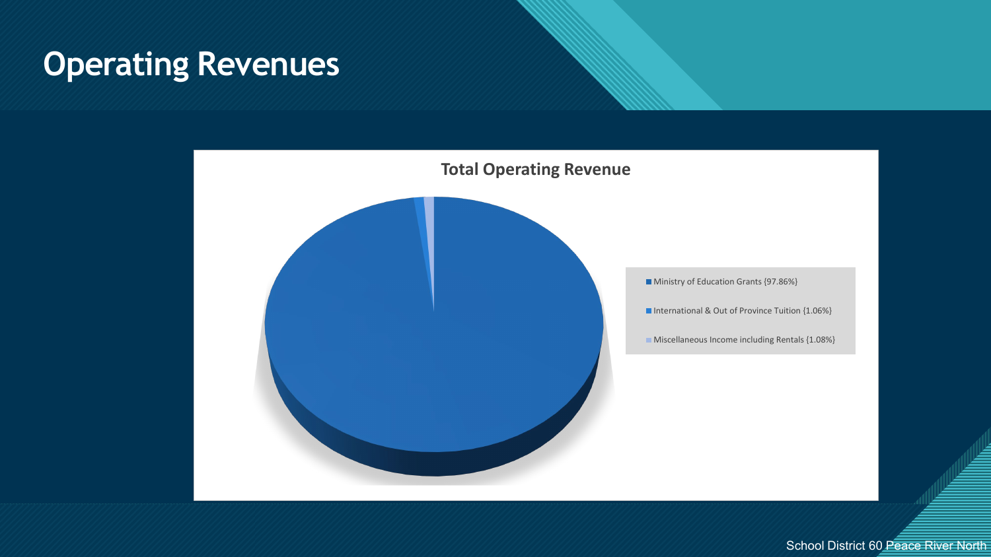### **C Conserverating Revenues**



School District 60 Peace River North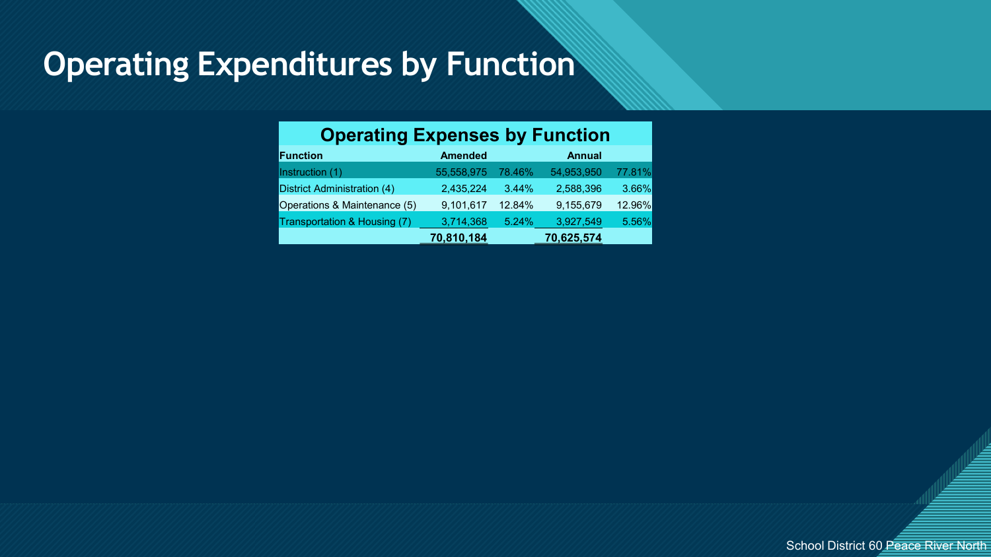### **Operating Expenditures by Function**

| <b>Operating Expenses by Function</b> |                |        |               |        |  |
|---------------------------------------|----------------|--------|---------------|--------|--|
| <b>Function</b>                       | <b>Amended</b> |        | <b>Annual</b> |        |  |
| Instruction (1)                       | 55,558,975     | 78.46% | 54,953,950    | 77.81% |  |
| District Administration (4)           | 2,435,224      | 3.44%  | 2,588,396     | 3.66%  |  |
| Operations & Maintenance (5)          | 9,101,617      | 12.84% | 9,155,679     | 12.96% |  |
| Transportation & Housing (7)          | 3,714,368      | 5.24%  | 3,927,549     | 5.56%  |  |
|                                       | 70,810,184     |        | 70,625,574    |        |  |



8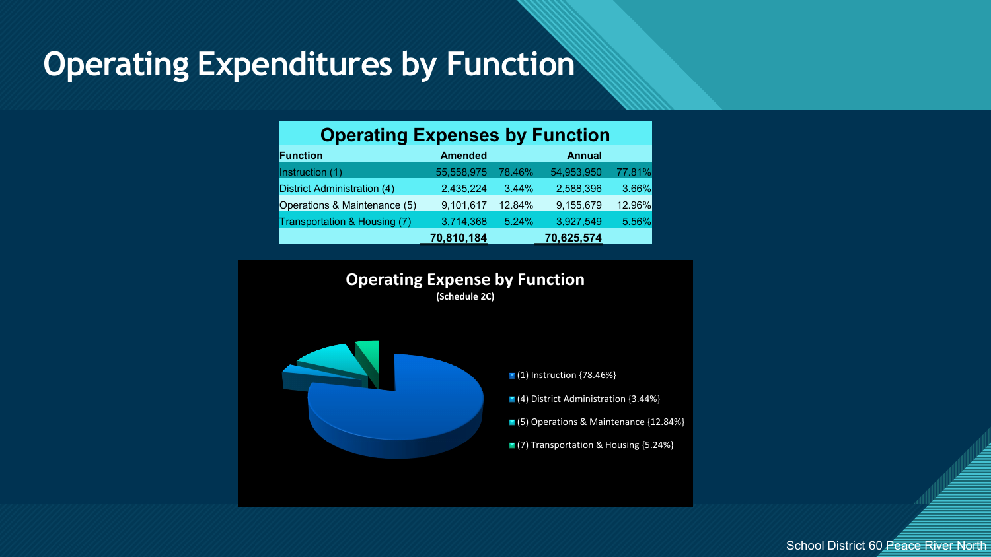### **Operating Expenditures by Function**

| <b>Operating Expenses by Function</b> |                |        |               |        |  |
|---------------------------------------|----------------|--------|---------------|--------|--|
| <b>Function</b>                       | <b>Amended</b> |        | <b>Annual</b> |        |  |
| Instruction (1)                       | 55,558,975     | 78.46% | 54,953,950    | 77.81% |  |
| <b>District Administration (4)</b>    | 2,435,224      | 3.44%  | 2,588,396     | 3.66%  |  |
| Operations & Maintenance (5)          | 9,101,617      | 12.84% | 9,155,679     | 12.96% |  |
| Transportation & Housing (7)          | 3,714,368      | 5.24%  | 3,927,549     | 5.56%  |  |
|                                       | 70,810,184     |        | 70,625,574    |        |  |





■ (1) Instruction {78.46%}

■ (4) District Administration {3.44%}

(5) Operations & Maintenance {12.84%}

■(7) Transportation & Housing {5.24%}

School District 60 Peace River North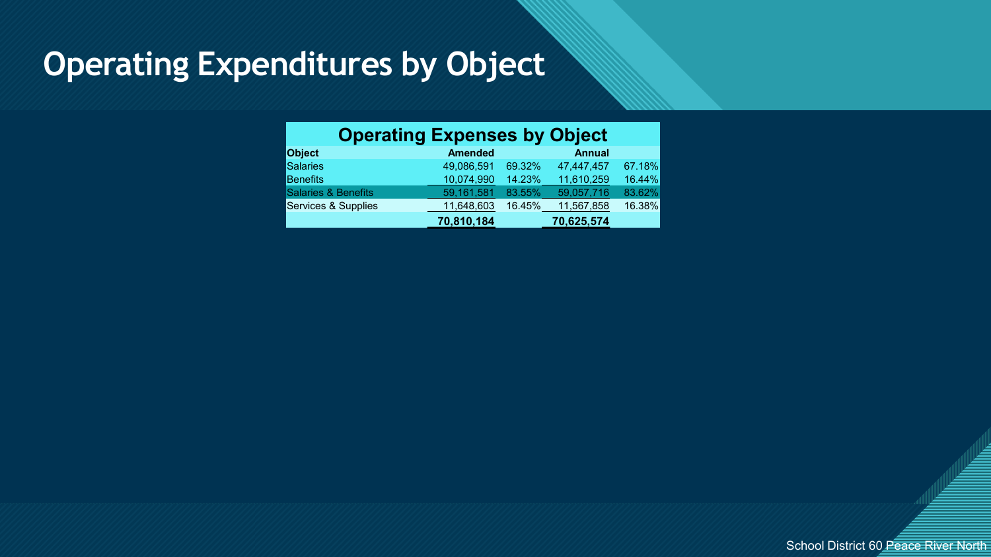### **Operating Expenditures by Object**

| <b>Operating Expenses by Object</b> |                |        |               |        |  |
|-------------------------------------|----------------|--------|---------------|--------|--|
| <b>Object</b>                       | <b>Amended</b> |        | <b>Annual</b> |        |  |
| Salaries                            | 49,086,591     | 69.32% | 47,447,457    | 67.18% |  |
| <b>Benefits</b>                     | 10,074,990     | 14.23% | 11,610,259    | 16.44% |  |
| Salaries & Benefits                 | 59,161,581     | 83.55% | 59,057,716    | 83.62% |  |
| Services & Supplies                 | 11,648,603     | 16.45% | 11,567,858    | 16.38% |  |
|                                     | 70,810,184     |        | 70,625,574    |        |  |



|<br>|<br>|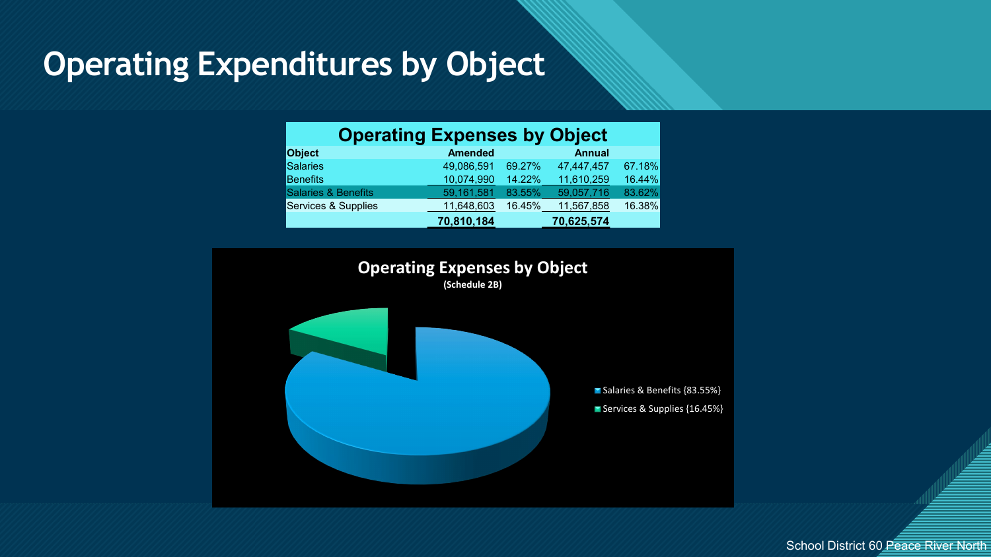### **Operating Expenditures by Object**

| <b>Operating Expenses by Object</b> |                |        |               |        |  |
|-------------------------------------|----------------|--------|---------------|--------|--|
| <b>Object</b>                       | <b>Amended</b> |        | <b>Annual</b> |        |  |
| Salaries                            | 49,086,591     | 69.27% | 47,447,457    | 67.18% |  |
| <b>Benefits</b>                     | 10,074,990     | 14.22% | 11,610,259    | 16.44% |  |
| Salaries & Benefits                 | 59,161,581     | 83.55% | 59,057,716    | 83.62% |  |
| Services & Supplies                 | 11,648,603     | 16.45% | 11,567,858    | 16.38% |  |
|                                     | 70,810,184     |        | 70,625,574    |        |  |



School District 60 Peace River North

<u>:</u>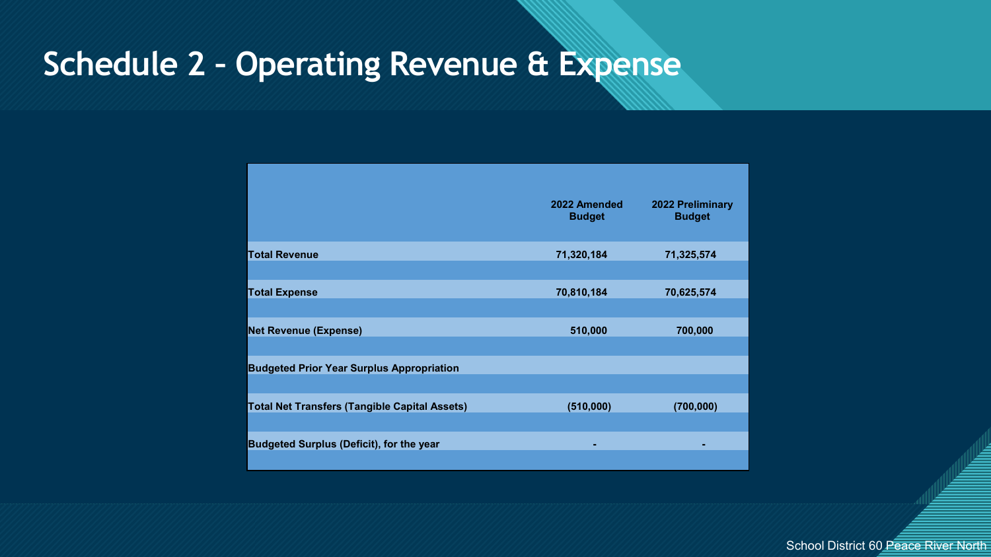### **Schedule 2 - Operating Revenue & Expense**

|                                                      | 2022 Amended<br><b>Budget</b> | <b>2022 Preliminary</b><br><b>Budget</b> |
|------------------------------------------------------|-------------------------------|------------------------------------------|
| <b>Total Revenue</b>                                 | 71,320,184                    | 71,325,574                               |
| <b>Total Expense</b>                                 | 70,810,184                    | 70,625,574                               |
| <b>Net Revenue (Expense)</b>                         | 510,000                       | 700,000                                  |
| <b>Budgeted Prior Year Surplus Appropriation</b>     |                               |                                          |
| <b>Total Net Transfers (Tangible Capital Assets)</b> | (510,000)                     | (700,000)                                |
| <b>Budgeted Surplus (Deficit), for the year</b>      |                               |                                          |
|                                                      |                               |                                          |

School District 60 Peace River North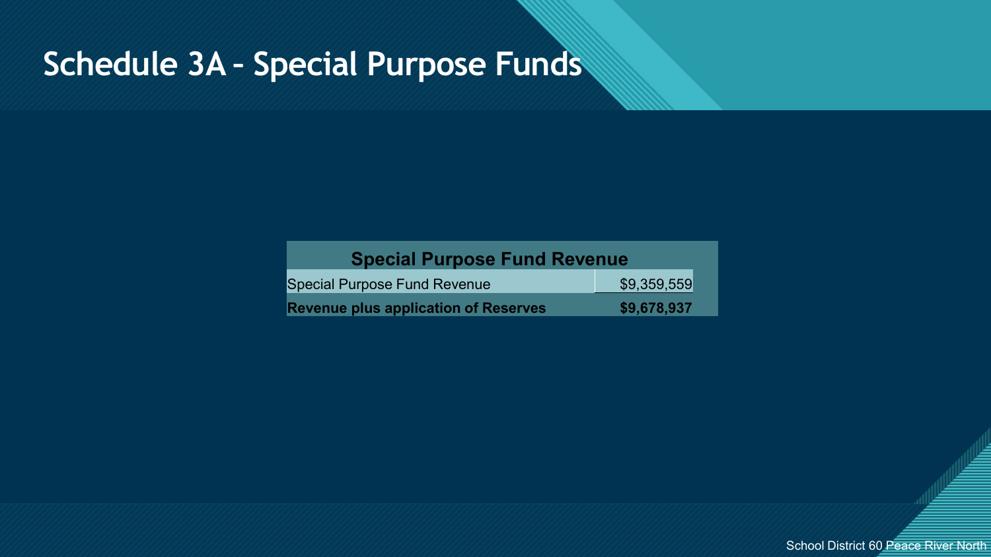### **Schedule 3A - Special Purpose Funds**

| <b>Special Purpose Fund Revenue</b>         |             |  |
|---------------------------------------------|-------------|--|
| <b>Special Purpose Fund Revenue</b>         | \$9,359,559 |  |
| <b>Revenue plus application of Reserves</b> | \$9,678,937 |  |



<u>:</u>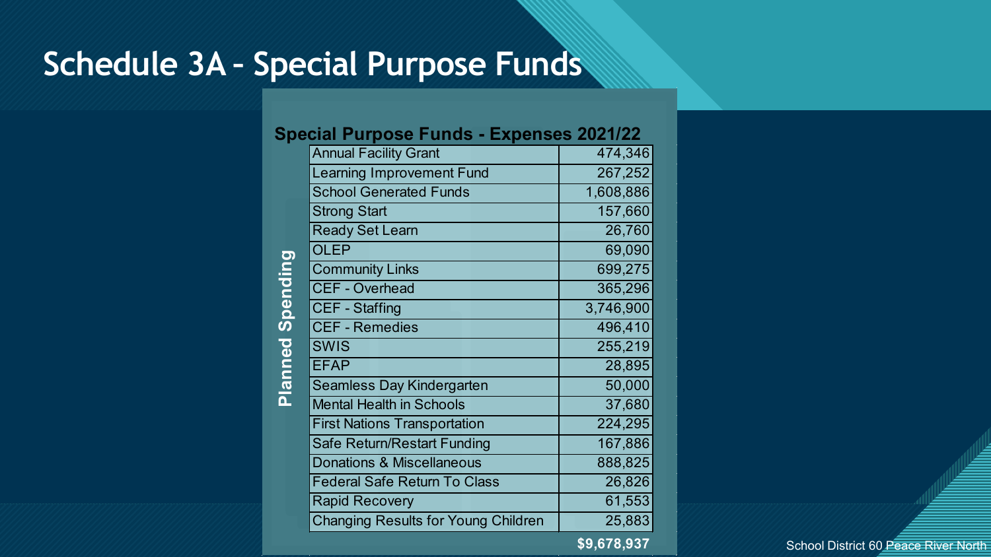### **Schedule 3A - Special Purpose Funds**

**Planned Spending Planned Spending**

### **Special Purpose Funds - Expenses 2021/22**

| <b>Annual Facility Grant</b>               | 474,346     |
|--------------------------------------------|-------------|
| <b>Learning Improvement Fund</b>           | 267,252     |
| <b>School Generated Funds</b>              | 1,608,886   |
| <b>Strong Start</b>                        | 157,660     |
| <b>Ready Set Learn</b>                     | 26,760      |
| <b>OLEP</b>                                | 69,090      |
| <b>Community Links</b>                     | 699,275     |
| <b>CEF - Overhead</b>                      | 365,296     |
| <b>CEF - Staffing</b>                      | 3,746,900   |
| <b>CEF - Remedies</b>                      | 496,410     |
| <b>SWIS</b>                                | 255,219     |
| <b>EFAP</b>                                | 28,895      |
| <b>Seamless Day Kindergarten</b>           | 50,000      |
| <b>Mental Health in Schools</b>            | 37,680      |
| <b>First Nations Transportation</b>        | 224,295     |
| <b>Safe Return/Restart Funding</b>         | 167,886     |
| <b>Donations &amp; Miscellaneous</b>       | 888,825     |
| <b>Federal Safe Return To Class</b>        | 26,826      |
| <b>Rapid Recovery</b>                      | 61,553      |
| <b>Changing Results for Young Children</b> | 25,883      |
|                                            | \$9,678,937 |

School District 60 Peace River North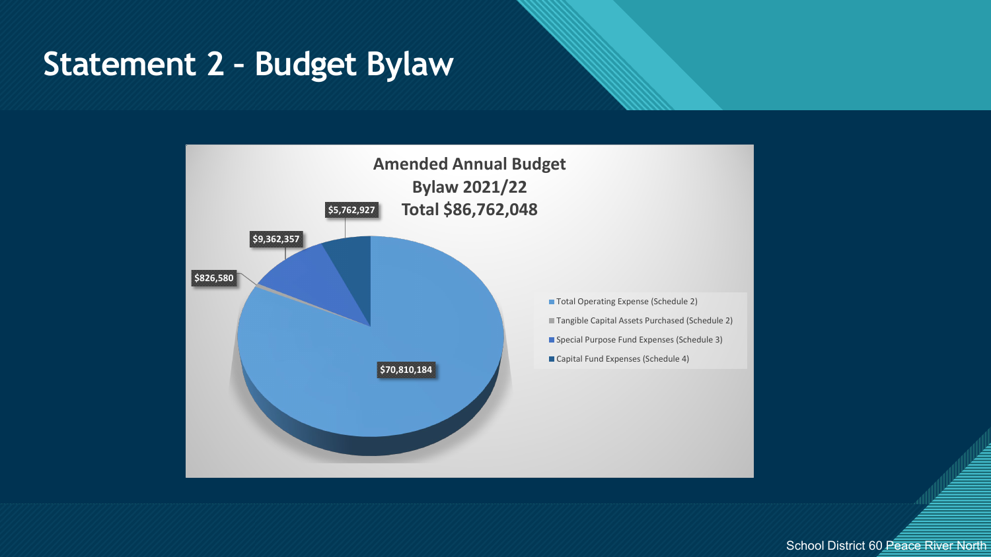### Statement 2 - Budget Bylaw



School District 60 Peace River North

15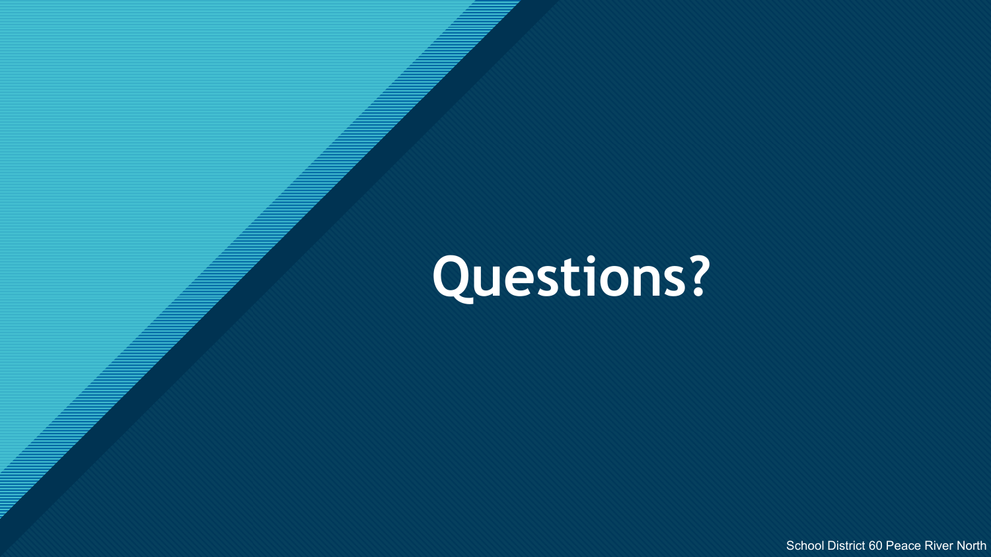## **Questions?**

**Click to edit Master title style**

School District 60 Peace River North